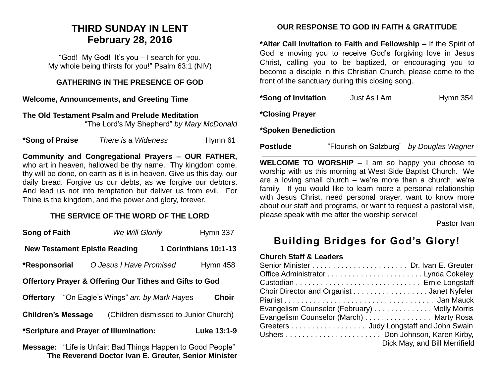# **THIRD SUNDAY IN LENT February 28, 2016**

"God! My God! It's you – I search for you. My whole being thirsts for you!" Psalm 63:1 (NIV)

#### **GATHERING IN THE PRESENCE OF GOD**

#### **Welcome, Announcements, and Greeting Time**

**The Old Testament Psalm and Prelude Meditation**  "The Lord's My Shepherd" *by Mary McDonald*

**\*Song of Praise** *There is a Wideness* Hymn 61

**Community and Congregational Prayers – OUR FATHER,**  who art in heaven, hallowed be thy name. Thy kingdom come, thy will be done, on earth as it is in heaven. Give us this day, our daily bread. Forgive us our debts, as we forgive our debtors. And lead us not into temptation but deliver us from evil. For Thine is the kingdom, and the power and glory, forever.

## **THE SERVICE OF THE WORD OF THE LORD**

| Song of Faith                                                      | We Will Glorify                       |  | Hymn 337     |  |
|--------------------------------------------------------------------|---------------------------------------|--|--------------|--|
| 1 Corinthians 10:1-13<br><b>New Testament Epistle Reading</b>      |                                       |  |              |  |
| *Responsorial                                                      | O Jesus I Have Promised               |  | Hymn 458     |  |
| <b>Offertory Prayer &amp; Offering Our Tithes and Gifts to God</b> |                                       |  |              |  |
| <b>Offertory</b>                                                   | "On Eagle's Wings" arr. by Mark Hayes |  | <b>Choir</b> |  |
| (Children dismissed to Junior Church)<br><b>Children's Message</b> |                                       |  |              |  |
| *Scripture and Prayer of Illumination:<br>Luke 13:1-9              |                                       |  |              |  |
|                                                                    |                                       |  |              |  |

**Message:** "Life is Unfair: Bad Things Happen to Good People" **The Reverend Doctor Ivan E. Greuter, Senior Minister**

# **OUR RESPONSE TO GOD IN FAITH & GRATITUDE**

**\*Alter Call Invitation to Faith and Fellowship –** If the Spirit of God is moving you to receive God's forgiving love in Jesus Christ, calling you to be baptized, or encouraging you to become a disciple in this Christian Church, please come to the front of the sanctuary during this closing song.

| *Song of Invitation | Just As I Am | Hymn $354$ |
|---------------------|--------------|------------|
|---------------------|--------------|------------|

**\*Closing Prayer**

**\*Spoken Benediction**

**Postlude** "Flourish on Salzburg" *by Douglas Wagner*

**WELCOME TO WORSHIP –** I am so happy you choose to worship with us this morning at West Side Baptist Church. We are a loving small church – we're more than a church, we're family. If you would like to learn more a personal relationship with Jesus Christ, need personal prayer, want to know more about our staff and programs, or want to request a pastoral visit, please speak with me after the worship service!

Pastor Ivan

# **Building Bridges for God's Glory!**

#### **Church Staff & Leaders**

| Choir Director and Organist Janet Nyfeler    |                               |
|----------------------------------------------|-------------------------------|
|                                              |                               |
| Evangelism Counselor (February) Molly Morris |                               |
| Evangelism Counselor (March) Marty Rosa      |                               |
| Greeters Judy Longstaff and John Swain       |                               |
|                                              |                               |
|                                              | Dick May, and Bill Merrifield |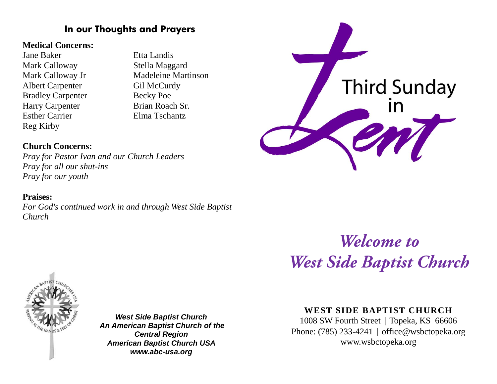# **In our Thoughts and Prayers**

## **Medical Concerns:**

Jane Baker Etta Landis Mark Calloway Stella Maggard Albert Carpenter Gil McCurdy Bradley Carpenter Becky Poe Harry Carpenter Brian Roach Sr. Esther Carrier Elma Tschantz Reg Kirby

Mark Calloway Jr Madeleine Martinson

# **Third Sunday**

# **Church Concerns:**

*Pray for Pastor Ivan and our Church Leaders Pray for all our shut-ins Pray for our youth*

# **Praises:**

*For God's continued work in and through West Side Baptist Church* 

> Welcome to **West Side Baptist Church**



*West Side Baptist Church An American Baptist Church of the Central Region American Baptist Church USA www.abc-usa.org*

# **WEST SIDE BAPTIST CHURCH**

1008 SW Fourth Street | Topeka, KS 66606 Phone: (785) 233-4241 │ [office@wsbctopeka.org](mailto:office@wsbctopeka.org) www.wsbctopeka.org